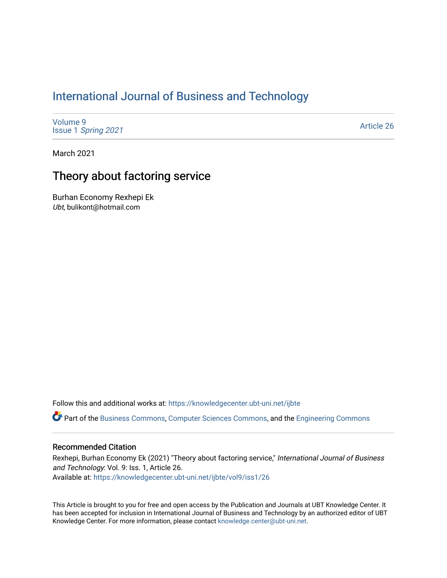# [International Journal of Business and Technology](https://knowledgecenter.ubt-uni.net/ijbte)

[Volume 9](https://knowledgecenter.ubt-uni.net/ijbte/vol9) Issue 1 [Spring 2021](https://knowledgecenter.ubt-uni.net/ijbte/vol9/iss1) 

[Article 26](https://knowledgecenter.ubt-uni.net/ijbte/vol9/iss1/26) 

March 2021

# Theory about factoring service

Burhan Economy Rexhepi Ek Ubt, bulikont@hotmail.com

Follow this and additional works at: [https://knowledgecenter.ubt-uni.net/ijbte](https://knowledgecenter.ubt-uni.net/ijbte?utm_source=knowledgecenter.ubt-uni.net%2Fijbte%2Fvol9%2Fiss1%2F26&utm_medium=PDF&utm_campaign=PDFCoverPages) 

Part of the [Business Commons](https://network.bepress.com/hgg/discipline/622?utm_source=knowledgecenter.ubt-uni.net%2Fijbte%2Fvol9%2Fiss1%2F26&utm_medium=PDF&utm_campaign=PDFCoverPages), [Computer Sciences Commons,](https://network.bepress.com/hgg/discipline/142?utm_source=knowledgecenter.ubt-uni.net%2Fijbte%2Fvol9%2Fiss1%2F26&utm_medium=PDF&utm_campaign=PDFCoverPages) and the [Engineering Commons](https://network.bepress.com/hgg/discipline/217?utm_source=knowledgecenter.ubt-uni.net%2Fijbte%2Fvol9%2Fiss1%2F26&utm_medium=PDF&utm_campaign=PDFCoverPages) 

#### Recommended Citation

Rexhepi, Burhan Economy Ek (2021) "Theory about factoring service," International Journal of Business and Technology: Vol. 9: Iss. 1, Article 26. Available at: [https://knowledgecenter.ubt-uni.net/ijbte/vol9/iss1/26](https://knowledgecenter.ubt-uni.net/ijbte/vol9/iss1/26?utm_source=knowledgecenter.ubt-uni.net%2Fijbte%2Fvol9%2Fiss1%2F26&utm_medium=PDF&utm_campaign=PDFCoverPages) 

This Article is brought to you for free and open access by the Publication and Journals at UBT Knowledge Center. It has been accepted for inclusion in International Journal of Business and Technology by an authorized editor of UBT Knowledge Center. For more information, please contact [knowledge.center@ubt-uni.net](mailto:knowledge.center@ubt-uni.net).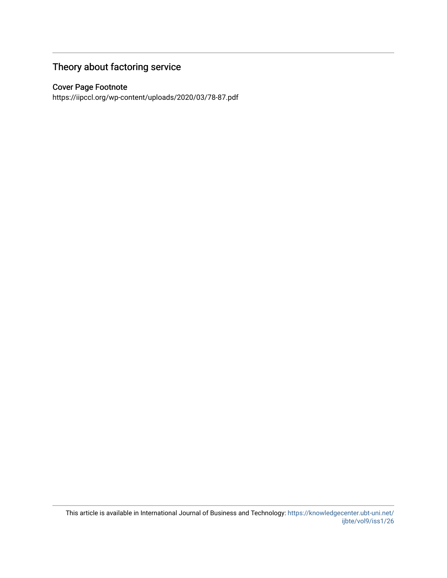# Theory about factoring service

# Cover Page Footnote

https://iipccl.org/wp-content/uploads/2020/03/78-87.pdf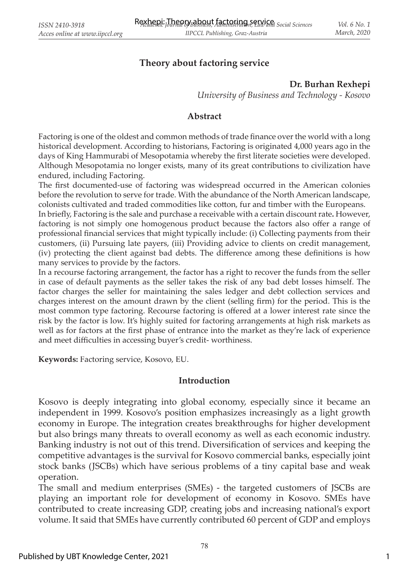# **Theory about factoring service**

#### **Dr. Burhan Rexhepi**

*University of Business and Technology - Kosovo*

#### **Abstract**

Factoring is one of the oldest and common methods of trade finance over the world with a long historical development. According to historians, Factoring is originated 4,000 years ago in the days of King Hammurabi of Mesopotamia whereby the first literate societies were developed. Although Mesopotamia no longer exists, many of its great contributions to civilization have endured, including Factoring.

The first documented-use of factoring was widespread occurred in the American colonies before the revolution to serve for trade. With the abundance of the North American landscape, colonists cultivated and traded commodities like cotton, fur and timber with the Europeans.

In briefly, Factoring is the sale and purchase a receivable with a certain discount rate. However, factoring is not simply one homogenous product because the factors also offer a range of professional financial services that might typically include: (i) Collecting payments from their customers, (ii) Pursuing late payers, (iii) Providing advice to clients on credit management, (iv) protecting the client against bad debts. The difference among these definitions is how many services to provide by the factors.

In a recourse factoring arrangement, the factor has a right to recover the funds from the seller in case of default payments as the seller takes the risk of any bad debt losses himself. The factor charges the seller for maintaining the sales ledger and debt collection services and charges interest on the amount drawn by the client (selling firm) for the period. This is the most common type factoring. Recourse factoring is offered at a lower interest rate since the risk by the factor is low. It's highly suited for factoring arrangements at high risk markets as well as for factors at the first phase of entrance into the market as they're lack of experience and meet difficulties in accessing buyer's credit-worthiness.

**Keywords:** Factoring service, Kosovo, EU.

#### **Introduction**

Kosovo is deeply integrating into global economy, especially since it became an independent in 1999. Kosovo's position emphasizes increasingly as a light growth economy in Europe. The integration creates breakthroughs for higher development but also brings many threats to overall economy as well as each economic industry. Banking industry is not out of this trend. Diversification of services and keeping the competitive advantages is the survival for Kosovo commercial banks, especially joint stock banks (JSCBs) which have serious problems of a tiny capital base and weak operation.

The small and medium enterprises (SMEs) - the targeted customers of JSCBs are playing an important role for development of economy in Kosovo. SMEs have contributed to create increasing GDP, creating jobs and increasing national's export volume. It said that SMEs have currently contributed 60 percent of GDP and employs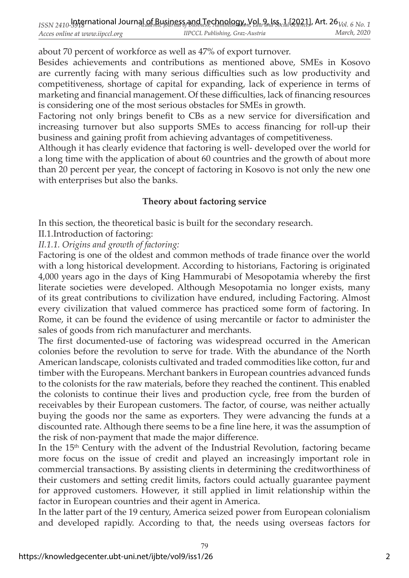about 70 percent of workforce as well as 47% of export turnover.

Besides achievements and contributions as mentioned above, SMEs in Kosovo are currently facing with many serious difficulties such as low productivity and competitiveness, shortage of capital for expanding, lack of experience in terms of marketing and financial management. Of these difficulties, lack of financing resources is considering one of the most serious obstacles for SMEs in growth.

Factoring not only brings benefit to CBs as a new service for diversification and increasing turnover but also supports SMEs to access financing for roll-up their business and gaining profit from achieving advantages of competitiveness.

Although it has clearly evidence that factoring is well- developed over the world for a long time with the application of about 60 countries and the growth of about more than 20 percent per year, the concept of factoring in Kosovo is not only the new one with enterprises but also the banks.

# **Theory about factoring service**

In this section, the theoretical basic is built for the secondary research.

II.1.Introduction of factoring:

*II.1.1. Origins and growth of factoring:*

Factoring is one of the oldest and common methods of trade finance over the world with a long historical development. According to historians, Factoring is originated 4,000 years ago in the days of King Hammurabi of Mesopotamia whereby the first literate societies were developed. Although Mesopotamia no longer exists, many of its great contributions to civilization have endured, including Factoring. Almost every civilization that valued commerce has practiced some form of factoring. In Rome, it can be found the evidence of using mercantile or factor to administer the sales of goods from rich manufacturer and merchants.

The first documented-use of factoring was widespread occurred in the American colonies before the revolution to serve for trade. With the abundance of the North American landscape, colonists cultivated and traded commodities like cotton, fur and timber with the Europeans. Merchant bankers in European countries advanced funds to the colonists for the raw materials, before they reached the continent. This enabled the colonists to continue their lives and production cycle, free from the burden of receivables by their European customers. The factor, of course, was neither actually buying the goods nor the same as exporters. They were advancing the funds at a discounted rate. Although there seems to be a fine line here, it was the assumption of the risk of non-payment that made the major difference.

In the 15<sup>th</sup> Century with the advent of the Industrial Revolution, factoring became more focus on the issue of credit and played an increasingly important role in commercial transactions. By assisting clients in determining the creditworthiness of their customers and setting credit limits, factors could actually guarantee payment for approved customers. However, it still applied in limit relationship within the factor in European countries and their agent in America.

In the latter part of the 19 century, America seized power from European colonialism and developed rapidly. According to that, the needs using overseas factors for

79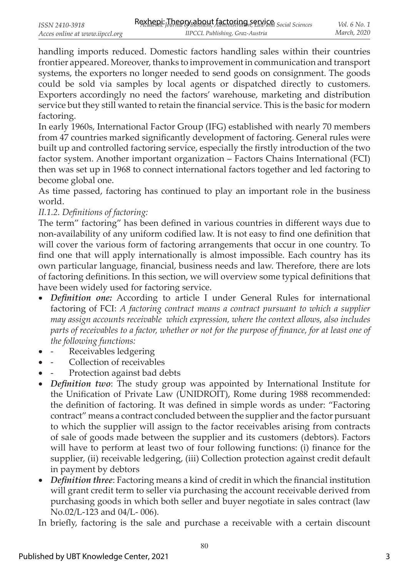handling imports reduced. Domestic factors handling sales within their countries frontier appeared. Moreover, thanks to improvement in communication and transport systems, the exporters no longer needed to send goods on consignment. The goods could be sold via samples by local agents or dispatched directly to customers. Exporters accordingly no need the factors' warehouse, marketing and distribution service but they still wanted to retain the financial service. This is the basic for modern factoring.

In early 1960s, International Factor Group (IFG) established with nearly 70 members from 47 countries marked significantly development of factoring. General rules were built up and controlled factoring service, especially the firstly introduction of the two factor system. Another important organization – Factors Chains International (FCI) then was set up in 1968 to connect international factors together and led factoring to become global one.

As time passed, factoring has continued to play an important role in the business world.

### *II.1.2. Definitions of factoring:*

The term" factoring" has been defined in various countries in different ways due to non-availability of any uniform codified law. It is not easy to find one definition that will cover the various form of factoring arrangements that occur in one country. To find one that will apply internationally is almost impossible. Each country has its own particular language, financial, business needs and law. Therefore, there are lots of factoring definitions. In this section, we will overview some typical definitions that have been widely used for factoring service.

- *Definition one:* According to article I under General Rules for international factoring of FCI: *A factoring contract means a contract pursuant to which a supplier may assign accounts receivable which expression, where the context allows, also includes parts of receivables to a factor, whether or not for the purpose of fi nance, for at least one of the following functions:*
- Receivables ledgering
- Collection of receivables
- Protection against bad debts
- *Definition two*: The study group was appointed by International Institute for the Unification of Private Law (UNIDROIT), Rome during 1988 recommended: the definition of factoring. It was defined in simple words as under: "Factoring contract" means a contract concluded between the supplier and the factor pursuant to which the supplier will assign to the factor receivables arising from contracts of sale of goods made between the supplier and its customers (debtors). Factors will have to perform at least two of four following functions: (i) finance for the supplier, (ii) receivable ledgering, (iii) Collection protection against credit default in payment by debtors
- *Definition three*: Factoring means a kind of credit in which the financial institution will grant credit term to seller via purchasing the account receivable derived from purchasing goods in which both seller and buyer negotiate in sales contract (law No.02/L-123 and 04/L- 006).

In briefly, factoring is the sale and purchase a receivable with a certain discount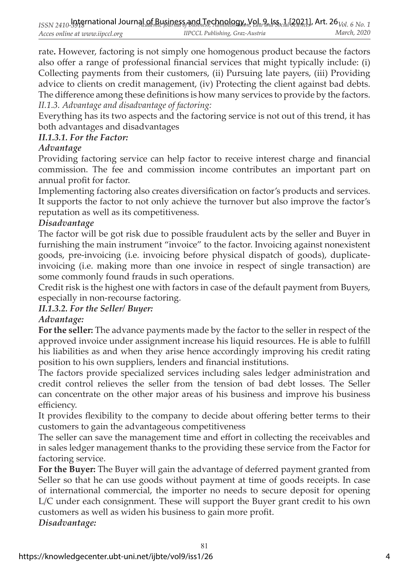rate**.** However, factoring is not simply one homogenous product because the factors also offer a range of professional financial services that might typically include: (i) Collecting payments from their customers, (ii) Pursuing late payers, (iii) Providing advice to clients on credit management, (iv) Protecting the client against bad debts. The difference among these definitions is how many services to provide by the factors. *II.1.3. Advantage and disadvantage of factoring:* 

Everything has its two aspects and the factoring service is not out of this trend, it has both advantages and disadvantages

# *II.1.3.1. For the Factor:*

# *Advantage*

Providing factoring service can help factor to receive interest charge and financial commission. The fee and commission income contributes an important part on annual profit for factor.

Implementing factoring also creates diversification on factor's products and services. It supports the factor to not only achieve the turnover but also improve the factor's reputation as well as its competitiveness.

### *Disadvantage*

The factor will be got risk due to possible fraudulent acts by the seller and Buyer in furnishing the main instrument "invoice" to the factor. Invoicing against nonexistent goods, pre-invoicing (i.e. invoicing before physical dispatch of goods), duplicateinvoicing (i.e. making more than one invoice in respect of single transaction) are some commonly found frauds in such operations.

Credit risk is the highest one with factors in case of the default payment from Buyers, especially in non-recourse factoring.

# *II.1.3.2. For the Seller/ Buyer:*

#### *Advantage:*

**For the seller:** The advance payments made by the factor to the seller in respect of the approved invoice under assignment increase his liquid resources. He is able to fulfill his liabilities as and when they arise hence accordingly improving his credit rating position to his own suppliers, lenders and financial institutions.

The factors provide specialized services including sales ledger administration and credit control relieves the seller from the tension of bad debt losses. The Seller can concentrate on the other major areas of his business and improve his business efficiency.

It provides flexibility to the company to decide about offering better terms to their customers to gain the advantageous competitiveness

The seller can save the management time and effort in collecting the receivables and in sales ledger management thanks to the providing these service from the Factor for factoring service.

**For the Buyer:** The Buyer will gain the advantage of deferred payment granted from Seller so that he can use goods without payment at time of goods receipts. In case of international commercial, the importer no needs to secure deposit for opening L/C under each consignment. These will support the Buyer grant credit to his own customers as well as widen his business to gain more profit.

81

*Disadvantage:*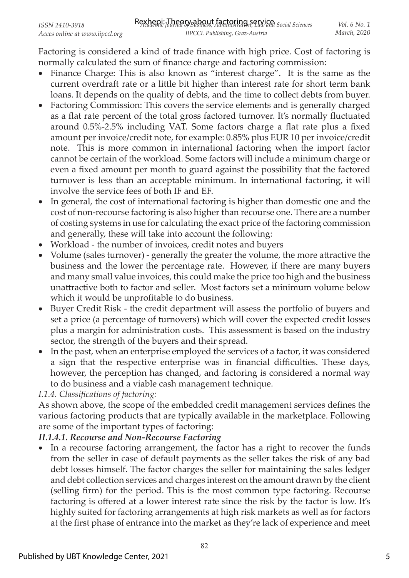Factoring is considered a kind of trade finance with high price. Cost of factoring is normally calculated the sum of finance charge and factoring commission:

- Finance Charge: This is also known as "interest charge". It is the same as the current overdraft rate or a little bit higher than interest rate for short term bank loans. It depends on the quality of debts, and the time to collect debts from buyer.
- Factoring Commission: This covers the service elements and is generally charged as a flat rate percent of the total gross factored turnover. It's normally fluctuated around 0.5%-2.5% including VAT. Some factors charge a flat rate plus a fixed amount per invoice/credit note, for example: 0.85% plus EUR 10 per invoice/credit note. This is more common in international factoring when the import factor cannot be certain of the workload. Some factors will include a minimum charge or even a fixed amount per month to guard against the possibility that the factored turnover is less than an acceptable minimum. In international factoring, it will involve the service fees of both IF and EF.
- In general, the cost of international factoring is higher than domestic one and the cost of non-recourse factoring is also higher than recourse one. There are a number of costing systems in use for calculating the exact price of the factoring commission and generally, these will take into account the following:
- Workload the number of invoices, credit notes and buyers
- Volume (sales turnover) generally the greater the volume, the more attractive the business and the lower the percentage rate. However, if there are many buyers and many small value invoices, this could make the price too high and the business unattractive both to factor and seller. Most factors set a minimum volume below which it would be unprofitable to do business.
- Buyer Credit Risk the credit department will assess the portfolio of buyers and set a price (a percentage of turnovers) which will cover the expected credit losses plus a margin for administration costs. This assessment is based on the industry sector, the strength of the buyers and their spread.
- In the past, when an enterprise employed the services of a factor, it was considered a sign that the respective enterprise was in financial difficulties. These days, however, the perception has changed, and factoring is considered a normal way to do business and a viable cash management technique.

# *I.1.4. Classifi cations of factoring:*

As shown above, the scope of the embedded credit management services defines the various factoring products that are typically available in the marketplace. Following are some of the important types of factoring:

# *II.1.4.1. Recourse and Non-Recourse Factoring*

• In a recourse factoring arrangement, the factor has a right to recover the funds from the seller in case of default payments as the seller takes the risk of any bad debt losses himself. The factor charges the seller for maintaining the sales ledger and debt collection services and charges interest on the amount drawn by the client (selling firm) for the period. This is the most common type factoring. Recourse factoring is offered at a lower interest rate since the risk by the factor is low. It's highly suited for factoring arrangements at high risk markets as well as for factors at the first phase of entrance into the market as they're lack of experience and meet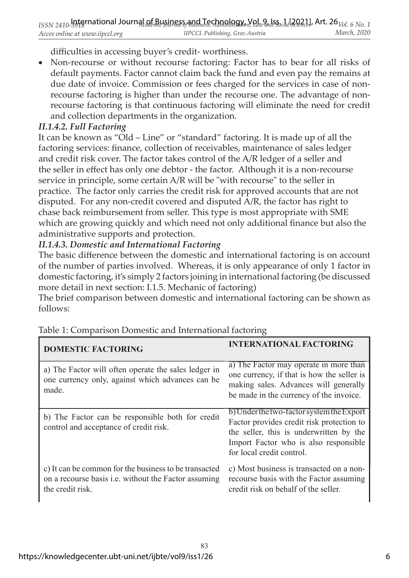difficulties in accessing buyer's credit-worthiness.

• Non-recourse or without recourse factoring: Factor has to bear for all risks of default payments. Factor cannot claim back the fund and even pay the remains at due date of invoice. Commission or fees charged for the services in case of nonrecourse factoring is higher than under the recourse one. The advantage of nonrecourse factoring is that continuous factoring will eliminate the need for credit and collection departments in the organization.

# *II.1.4.2. Full Factoring*

It can be known as "Old – Line" or "standard" factoring. It is made up of all the factoring services: finance, collection of receivables, maintenance of sales ledger and credit risk cover. The factor takes control of the A/R ledger of a seller and the seller in effect has only one debtor - the factor. Although it is a non-recourse service in principle, some certain A/R will be "with recourse" to the seller in practice. The factor only carries the credit risk for approved accounts that are not disputed. For any non-credit covered and disputed A/R, the factor has right to chase back reimbursement from seller. This type is most appropriate with SME which are growing quickly and which need not only additional finance but also the administrative supports and protection.

# *II.1.4.3. Domestic and International Factoring*

The basic difference between the domestic and international factoring is on account of the number of parties involved. Whereas, it is only appearance of only 1 factor in domestic factoring, it's simply 2 factors joining in international factoring (be discussed more detail in next section: I.1.5. Mechanic of factoring)

The brief comparison between domestic and international factoring can be shown as follows:

| <b>DOMESTIC FACTORING</b>                                                                                                         | <b>INTERNATIONAL FACTORING</b>                                                                                                                                                                          |
|-----------------------------------------------------------------------------------------------------------------------------------|---------------------------------------------------------------------------------------------------------------------------------------------------------------------------------------------------------|
| a) The Factor will often operate the sales ledger in<br>one currency only, against which advances can be<br>made.                 | a) The Factor may operate in more than<br>one currency, if that is how the seller is<br>making sales. Advances will generally<br>be made in the currency of the invoice.                                |
| b) The Factor can be responsible both for credit<br>control and acceptance of credit risk.                                        | b) Under the two-factor system the Export<br>Factor provides credit risk protection to<br>the seller, this is underwritten by the<br>Import Factor who is also responsible<br>for local credit control. |
| c) It can be common for the business to be transacted<br>on a recourse basis i.e. without the Factor assuming<br>the credit risk. | c) Most business is transacted on a non-<br>recourse basis with the Factor assuming<br>credit risk on behalf of the seller.                                                                             |

Table 1: Comparison Domestic and International factoring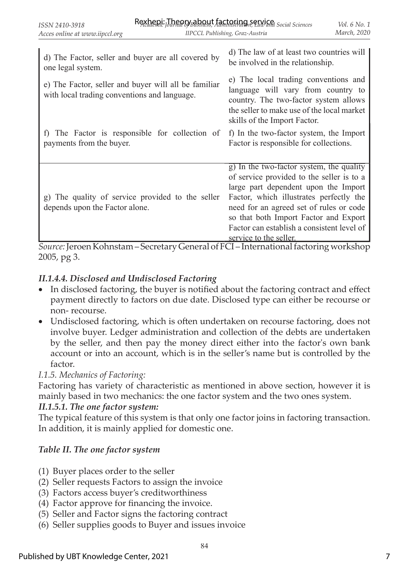| d) The Factor, seller and buyer are all covered by                                                   | d) The law of at least two countries will                                                                                                                                                                                                                                                                                            |
|------------------------------------------------------------------------------------------------------|--------------------------------------------------------------------------------------------------------------------------------------------------------------------------------------------------------------------------------------------------------------------------------------------------------------------------------------|
| one legal system.                                                                                    | be involved in the relationship.                                                                                                                                                                                                                                                                                                     |
| e) The Factor, seller and buyer will all be familiar<br>with local trading conventions and language. | e) The local trading conventions and<br>language will vary from country to<br>country. The two-factor system allows<br>the seller to make use of the local market<br>skills of the Import Factor.                                                                                                                                    |
| f) The Factor is responsible for collection of                                                       | f) In the two-factor system, the Import                                                                                                                                                                                                                                                                                              |
| payments from the buyer.                                                                             | Factor is responsible for collections.                                                                                                                                                                                                                                                                                               |
| g) The quality of service provided to the seller<br>depends upon the Factor alone.                   | g) In the two-factor system, the quality<br>of service provided to the seller is to a<br>large part dependent upon the Import<br>Factor, which illustrates perfectly the<br>need for an agreed set of rules or code<br>so that both Import Factor and Export<br>Factor can establish a consistent level of<br>service to the seller. |

*Source:*Jeroen Kohnstam – Secretary General of FCI – International factoring workshop 2005, pg 3.

# *II.1.4.4. Disclosed and Undisclosed Factoring*

- In disclosed factoring, the buyer is notified about the factoring contract and effect payment directly to factors on due date. Disclosed type can either be recourse or non- recourse.
- Undisclosed factoring, which is often undertaken on recourse factoring, does not involve buyer. Ledger administration and collection of the debts are undertaken by the seller, and then pay the money direct either into the factor's own bank account or into an account, which is in the seller's name but is controlled by the factor.

# *I.1.5. Mechanics of Factoring:*

Factoring has variety of characteristic as mentioned in above section, however it is mainly based in two mechanics: the one factor system and the two ones system.

#### *II.1.5.1. The one factor system:*

The typical feature of this system is that only one factor joins in factoring transaction. In addition, it is mainly applied for domestic one.

# *Table II. The one factor system*

- (1) Buyer places order to the seller
- (2) Seller requests Factors to assign the invoice
- (3) Factors access buyer's creditworthiness
- (4) Factor approve for financing the invoice.
- (5) Seller and Factor signs the factoring contract
- (6) Seller supplies goods to Buyer and issues invoice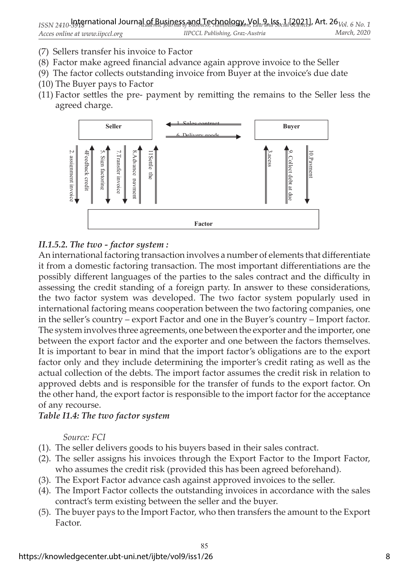- (7) Sellers transfer his invoice to Factor
- (8) Factor make agreed financial advance again approve invoice to the Seller
- (9) The factor collects outstanding invoice from Buyer at the invoice's due date
- (10) The Buyer pays to Factor
- (11) Factor settles the pre- payment by remitting the remains to the Seller less the agreed charge.



### *II.1.5.2. The two - factor system :*

An international factoring transaction involves a number of elements that differentiate it from a domestic factoring transaction. The most important differentiations are the possibly different languages of the parties to the sales contract and the difficulty in assessing the credit standing of a foreign party. In answer to these considerations, the two factor system was developed. The two factor system popularly used in international factoring means cooperation between the two factoring companies, one in the seller's country – export Factor and one in the Buyer's country – Import factor. The system involves three agreements, one between the exporter and the importer, one between the export factor and the exporter and one between the factors themselves. It is important to bear in mind that the import factor's obligations are to the export factor only and they include determining the importer's credit rating as well as the actual collection of the debts. The import factor assumes the credit risk in relation to approved debts and is responsible for the transfer of funds to the export factor. On the other hand, the export factor is responsible to the import factor for the acceptance of any recourse.

#### *Table I1.4: The two factor system*

*Source: FCI*

- (1). The seller delivers goods to his buyers based in their sales contract.
- (2). The seller assigns his invoices through the Export Factor to the Import Factor, who assumes the credit risk (provided this has been agreed beforehand).
- (3). The Export Factor advance cash against approved invoices to the seller.
- (4). The Import Factor collects the outstanding invoices in accordance with the sales contract's term existing between the seller and the buyer.
- (5). The buyer pays to the Import Factor, who then transfers the amount to the Export Factor.

85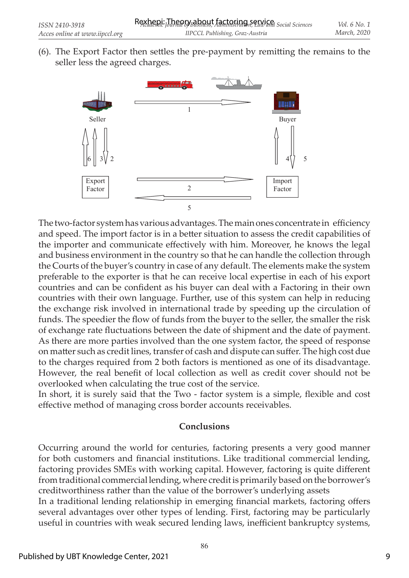$(6)$ . The Export Factor then settles the pre-payment by remitting the remains to the seller less the agreed charges.



The two-factor system has various advantages. The main ones concentrate in efficiency and speed. The import factor is in a better situation to assess the credit capabilities of the importer and communicate effectively with him. Moreover, he knows the legal and business environment in the country so that he can handle the collection through the Courts of the buyer's country in case of any default. The elements make the system preferable to the exporter is that he can receive local expertise in each of his export countries and can be confident as his buyer can deal with a Factoring in their own countries with their own language. Further, use of this system can help in reducing the exchange risk involved in international trade by speeding up the circulation of funds. The speedier the flow of funds from the buyer to the seller, the smaller the risk of exchange rate fluctuations between the date of shipment and the date of payment. As there are more parties involved than the one system factor, the speed of response on matter such as credit lines, transfer of cash and dispute can suffer. The high cost due to the charges required from 2 both factors is mentioned as one of its disadvantage. However, the real benefit of local collection as well as credit cover should not be overlooked when calculating the true cost of the service.

In short, it is surely said that the Two - factor system is a simple, flexible and cost effective method of managing cross border accounts receivables.

#### **Conclusions**

Occurring around the world for centuries, factoring presents a very good manner for both customers and financial institutions. Like traditional commercial lending, factoring provides SMEs with working capital. However, factoring is quite different from traditional commercial lending, where credit is primarily based on the borrower's creditworthiness rather than the value of the borrower's underlying assets

In a traditional lending relationship in emerging financial markets, factoring offers several advantages over other types of lending. First, factoring may be particularly useful in countries with weak secured lending laws, inefficient bankruptcy systems,